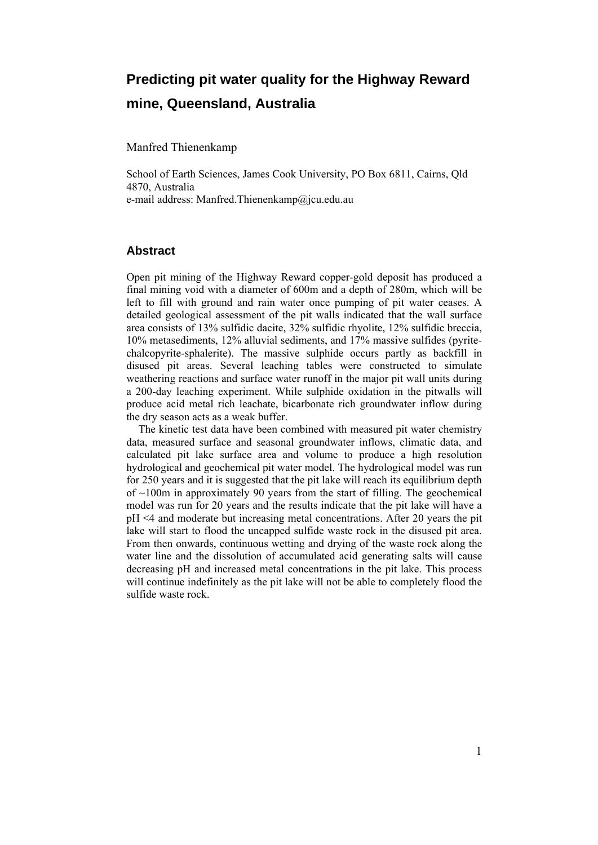# **Predicting pit water quality for the Highway Reward mine, Queensland, Australia**

Manfred Thienenkamp

School of Earth Sciences, James Cook University, PO Box 6811, Cairns, Qld 4870, Australia e-mail address: Manfred.Thienenkamp@jcu.edu.au

### **Abstract**

Open pit mining of the Highway Reward copper-gold deposit has produced a final mining void with a diameter of 600m and a depth of 280m, which will be left to fill with ground and rain water once pumping of pit water ceases. A detailed geological assessment of the pit walls indicated that the wall surface area consists of 13% sulfidic dacite, 32% sulfidic rhyolite, 12% sulfidic breccia, 10% metasediments, 12% alluvial sediments, and 17% massive sulfides (pyritechalcopyrite-sphalerite). The massive sulphide occurs partly as backfill in disused pit areas. Several leaching tables were constructed to simulate weathering reactions and surface water runoff in the major pit wall units during a 200-day leaching experiment. While sulphide oxidation in the pitwalls will produce acid metal rich leachate, bicarbonate rich groundwater inflow during the dry season acts as a weak buffer.

The kinetic test data have been combined with measured pit water chemistry data, measured surface and seasonal groundwater inflows, climatic data, and calculated pit lake surface area and volume to produce a high resolution hydrological and geochemical pit water model. The hydrological model was run for 250 years and it is suggested that the pit lake will reach its equilibrium depth of  $\sim$ 100m in approximately 90 years from the start of filling. The geochemical model was run for 20 years and the results indicate that the pit lake will have a pH <4 and moderate but increasing metal concentrations. After 20 years the pit lake will start to flood the uncapped sulfide waste rock in the disused pit area. From then onwards, continuous wetting and drying of the waste rock along the water line and the dissolution of accumulated acid generating salts will cause decreasing pH and increased metal concentrations in the pit lake. This process will continue indefinitely as the pit lake will not be able to completely flood the sulfide waste rock.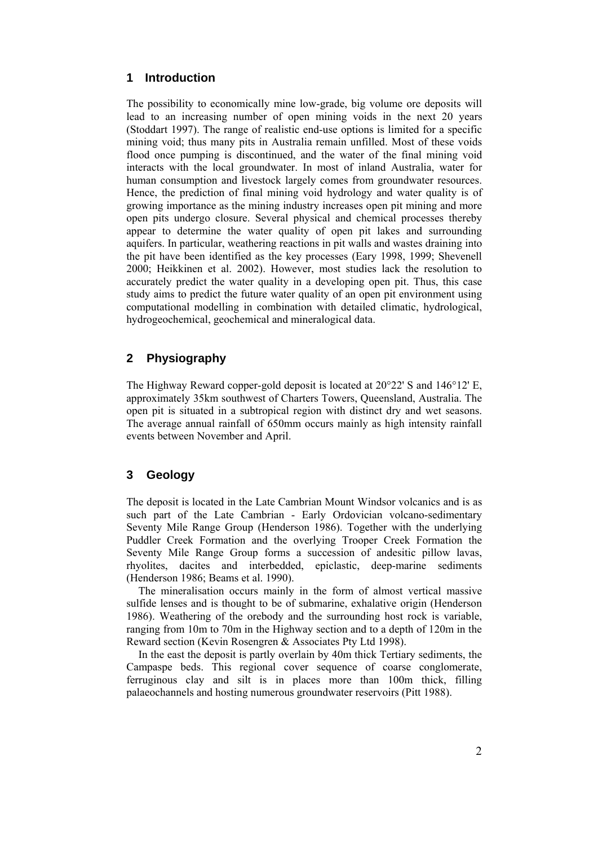## **1 Introduction**

The possibility to economically mine low-grade, big volume ore deposits will lead to an increasing number of open mining voids in the next 20 years (Stoddart 1997). The range of realistic end-use options is limited for a specific mining void; thus many pits in Australia remain unfilled. Most of these voids flood once pumping is discontinued, and the water of the final mining void interacts with the local groundwater. In most of inland Australia, water for human consumption and livestock largely comes from groundwater resources. Hence, the prediction of final mining void hydrology and water quality is of growing importance as the mining industry increases open pit mining and more open pits undergo closure. Several physical and chemical processes thereby appear to determine the water quality of open pit lakes and surrounding aquifers. In particular, weathering reactions in pit walls and wastes draining into the pit have been identified as the key processes (Eary 1998, 1999; Shevenell 2000; Heikkinen et al. 2002). However, most studies lack the resolution to accurately predict the water quality in a developing open pit. Thus, this case study aims to predict the future water quality of an open pit environment using computational modelling in combination with detailed climatic, hydrological, hydrogeochemical, geochemical and mineralogical data.

# **2 Physiography**

The Highway Reward copper-gold deposit is located at  $20^{\circ}22'$  S and  $146^{\circ}12'$  E, approximately 35km southwest of Charters Towers, Queensland, Australia. The open pit is situated in a subtropical region with distinct dry and wet seasons. The average annual rainfall of 650mm occurs mainly as high intensity rainfall events between November and April.

# **3 Geology**

The deposit is located in the Late Cambrian Mount Windsor volcanics and is as such part of the Late Cambrian - Early Ordovician volcano-sedimentary Seventy Mile Range Group (Henderson 1986). Together with the underlying Puddler Creek Formation and the overlying Trooper Creek Formation the Seventy Mile Range Group forms a succession of andesitic pillow lavas, rhyolites, dacites and interbedded, epiclastic, deep-marine sediments (Henderson 1986; Beams et al. 1990).

The mineralisation occurs mainly in the form of almost vertical massive sulfide lenses and is thought to be of submarine, exhalative origin (Henderson 1986). Weathering of the orebody and the surrounding host rock is variable, ranging from 10m to 70m in the Highway section and to a depth of 120m in the Reward section (Kevin Rosengren & Associates Pty Ltd 1998).

In the east the deposit is partly overlain by 40m thick Tertiary sediments, the Campaspe beds. This regional cover sequence of coarse conglomerate, ferruginous clay and silt is in places more than 100m thick, filling palaeochannels and hosting numerous groundwater reservoirs (Pitt 1988).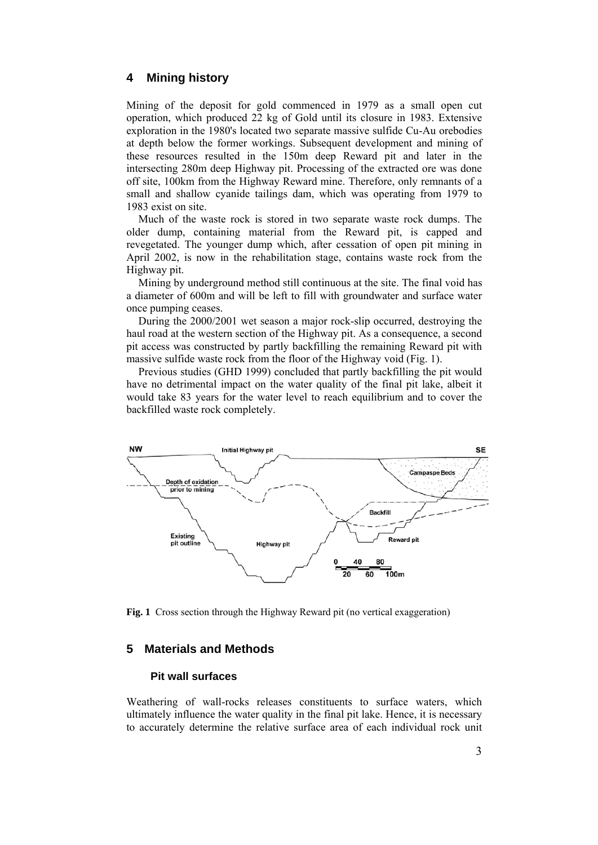## **4 Mining history**

Mining of the deposit for gold commenced in 1979 as a small open cut operation, which produced 22 kg of Gold until its closure in 1983. Extensive exploration in the 1980's located two separate massive sulfide Cu-Au orebodies at depth below the former workings. Subsequent development and mining of these resources resulted in the 150m deep Reward pit and later in the intersecting 280m deep Highway pit. Processing of the extracted ore was done off site, 100km from the Highway Reward mine. Therefore, only remnants of a small and shallow cyanide tailings dam, which was operating from 1979 to 1983 exist on site.

Much of the waste rock is stored in two separate waste rock dumps. The older dump, containing material from the Reward pit, is capped and revegetated. The younger dump which, after cessation of open pit mining in April 2002, is now in the rehabilitation stage, contains waste rock from the Highway pit.

Mining by underground method still continuous at the site. The final void has a diameter of 600m and will be left to fill with groundwater and surface water once pumping ceases.

During the 2000/2001 wet season a major rock-slip occurred, destroying the haul road at the western section of the Highway pit. As a consequence, a second pit access was constructed by partly backfilling the remaining Reward pit with massive sulfide waste rock from the floor of the Highway void (Fig. 1).

Previous studies (GHD 1999) concluded that partly backfilling the pit would have no detrimental impact on the water quality of the final pit lake, albeit it would take 83 years for the water level to reach equilibrium and to cover the backfilled waste rock completely.



**Fig. 1** Cross section through the Highway Reward pit (no vertical exaggeration)

### **5 Materials and Methods**

### **Pit wall surfaces**

Weathering of wall-rocks releases constituents to surface waters, which ultimately influence the water quality in the final pit lake. Hence, it is necessary to accurately determine the relative surface area of each individual rock unit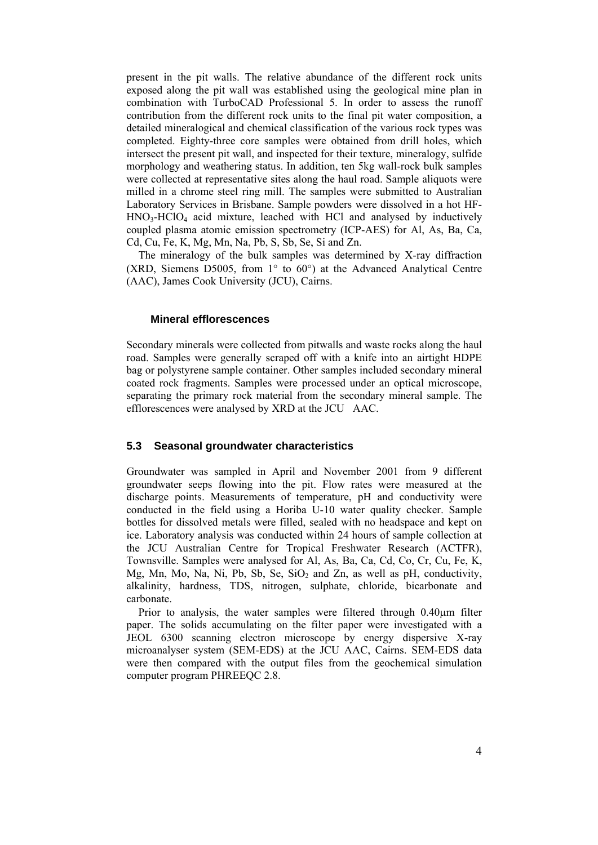present in the pit walls. The relative abundance of the different rock units exposed along the pit wall was established using the geological mine plan in combination with TurboCAD Professional 5. In order to assess the runoff contribution from the different rock units to the final pit water composition, a detailed mineralogical and chemical classification of the various rock types was completed. Eighty-three core samples were obtained from drill holes, which intersect the present pit wall, and inspected for their texture, mineralogy, sulfide morphology and weathering status. In addition, ten 5kg wall-rock bulk samples were collected at representative sites along the haul road. Sample aliquots were milled in a chrome steel ring mill. The samples were submitted to Australian Laboratory Services in Brisbane. Sample powders were dissolved in a hot HF- $HNO<sub>3</sub>-HClO<sub>4</sub>$  acid mixture, leached with HCl and analysed by inductively coupled plasma atomic emission spectrometry (ICP-AES) for Al, As, Ba, Ca, Cd, Cu, Fe, K, Mg, Mn, Na, Pb, S, Sb, Se, Si and Zn.

The mineralogy of the bulk samples was determined by X-ray diffraction (XRD, Siemens D5005, from 1° to 60°) at the Advanced Analytical Centre (AAC), James Cook University (JCU), Cairns.

### **Mineral efflorescences**

Secondary minerals were collected from pitwalls and waste rocks along the haul road. Samples were generally scraped off with a knife into an airtight HDPE bag or polystyrene sample container. Other samples included secondary mineral coated rock fragments. Samples were processed under an optical microscope, separating the primary rock material from the secondary mineral sample. The efflorescences were analysed by XRD at the JCU AAC.

#### **5.3 Seasonal groundwater characteristics**

Groundwater was sampled in April and November 2001 from 9 different groundwater seeps flowing into the pit. Flow rates were measured at the discharge points. Measurements of temperature, pH and conductivity were conducted in the field using a Horiba U-10 water quality checker. Sample bottles for dissolved metals were filled, sealed with no headspace and kept on ice. Laboratory analysis was conducted within 24 hours of sample collection at the JCU Australian Centre for Tropical Freshwater Research (ACTFR), Townsville. Samples were analysed for Al, As, Ba, Ca, Cd, Co, Cr, Cu, Fe, K, Mg, Mn, Mo, Na, Ni, Pb, Sb, Se,  $SiO<sub>2</sub>$  and Zn, as well as pH, conductivity, alkalinity, hardness, TDS, nitrogen, sulphate, chloride, bicarbonate and carbonate.

Prior to analysis, the water samples were filtered through 0.40μm filter paper. The solids accumulating on the filter paper were investigated with a JEOL 6300 scanning electron microscope by energy dispersive X-ray microanalyser system (SEM-EDS) at the JCU AAC, Cairns. SEM-EDS data were then compared with the output files from the geochemical simulation computer program PHREEQC 2.8.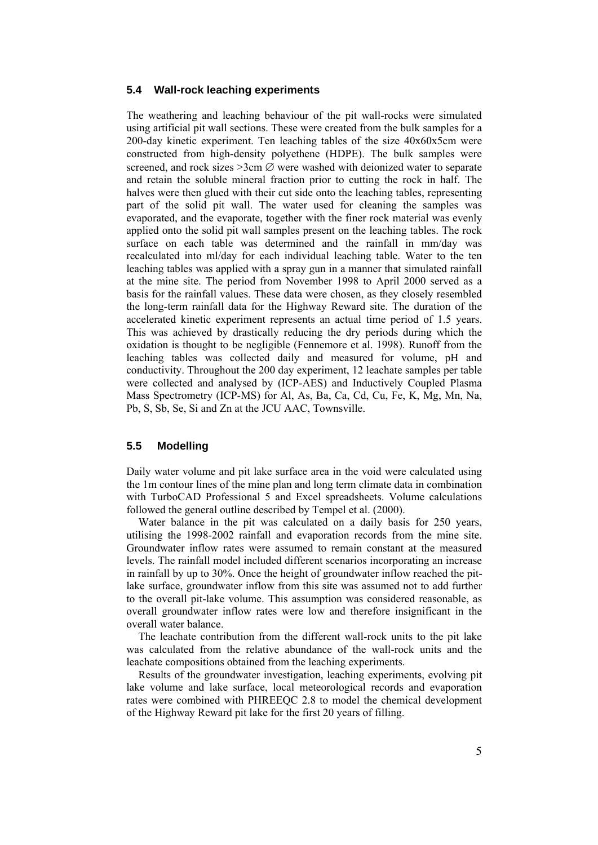#### **5.4 Wall-rock leaching experiments**

The weathering and leaching behaviour of the pit wall-rocks were simulated using artificial pit wall sections. These were created from the bulk samples for a 200-day kinetic experiment. Ten leaching tables of the size 40x60x5cm were constructed from high-density polyethene (HDPE). The bulk samples were screened, and rock sizes  $\geq 3$ cm  $\varnothing$  were washed with deionized water to separate and retain the soluble mineral fraction prior to cutting the rock in half. The halves were then glued with their cut side onto the leaching tables, representing part of the solid pit wall. The water used for cleaning the samples was evaporated, and the evaporate, together with the finer rock material was evenly applied onto the solid pit wall samples present on the leaching tables. The rock surface on each table was determined and the rainfall in mm/day was recalculated into ml/day for each individual leaching table. Water to the ten leaching tables was applied with a spray gun in a manner that simulated rainfall at the mine site. The period from November 1998 to April 2000 served as a basis for the rainfall values. These data were chosen, as they closely resembled the long-term rainfall data for the Highway Reward site. The duration of the accelerated kinetic experiment represents an actual time period of 1.5 years. This was achieved by drastically reducing the dry periods during which the oxidation is thought to be negligible (Fennemore et al. 1998). Runoff from the leaching tables was collected daily and measured for volume, pH and conductivity. Throughout the 200 day experiment, 12 leachate samples per table were collected and analysed by (ICP-AES) and Inductively Coupled Plasma Mass Spectrometry (ICP-MS) for Al, As, Ba, Ca, Cd, Cu, Fe, K, Mg, Mn, Na, Pb, S, Sb, Se, Si and Zn at the JCU AAC, Townsville.

### **5.5 Modelling**

Daily water volume and pit lake surface area in the void were calculated using the 1m contour lines of the mine plan and long term climate data in combination with TurboCAD Professional 5 and Excel spreadsheets. Volume calculations followed the general outline described by Tempel et al. (2000).

Water balance in the pit was calculated on a daily basis for 250 years, utilising the 1998-2002 rainfall and evaporation records from the mine site. Groundwater inflow rates were assumed to remain constant at the measured levels. The rainfall model included different scenarios incorporating an increase in rainfall by up to 30%. Once the height of groundwater inflow reached the pitlake surface, groundwater inflow from this site was assumed not to add further to the overall pit-lake volume. This assumption was considered reasonable, as overall groundwater inflow rates were low and therefore insignificant in the overall water balance.

The leachate contribution from the different wall-rock units to the pit lake was calculated from the relative abundance of the wall-rock units and the leachate compositions obtained from the leaching experiments.

Results of the groundwater investigation, leaching experiments, evolving pit lake volume and lake surface, local meteorological records and evaporation rates were combined with PHREEQC 2.8 to model the chemical development of the Highway Reward pit lake for the first 20 years of filling.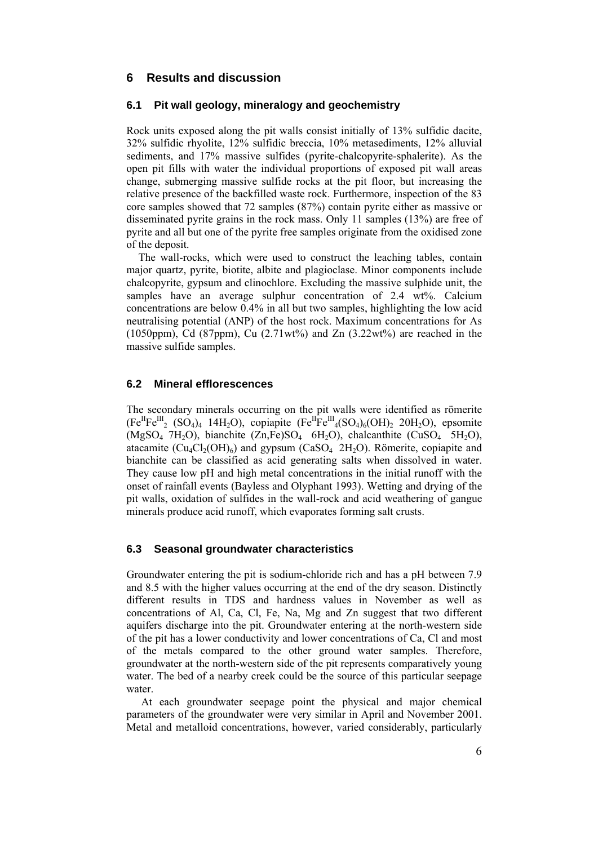## **6 Results and discussion**

#### **6.1 Pit wall geology, mineralogy and geochemistry**

Rock units exposed along the pit walls consist initially of 13% sulfidic dacite, 32% sulfidic rhyolite, 12% sulfidic breccia, 10% metasediments, 12% alluvial sediments, and 17% massive sulfides (pyrite-chalcopyrite-sphalerite). As the open pit fills with water the individual proportions of exposed pit wall areas change, submerging massive sulfide rocks at the pit floor, but increasing the relative presence of the backfilled waste rock. Furthermore, inspection of the 83 core samples showed that 72 samples (87%) contain pyrite either as massive or disseminated pyrite grains in the rock mass. Only 11 samples (13%) are free of pyrite and all but one of the pyrite free samples originate from the oxidised zone of the deposit.

The wall-rocks, which were used to construct the leaching tables, contain major quartz, pyrite, biotite, albite and plagioclase. Minor components include chalcopyrite, gypsum and clinochlore. Excluding the massive sulphide unit, the samples have an average sulphur concentration of 2.4 wt%. Calcium concentrations are below 0.4% in all but two samples, highlighting the low acid neutralising potential (ANP) of the host rock. Maximum concentrations for As (1050ppm), Cd (87ppm), Cu  $(2.71wt\%)$  and Zn  $(3.22wt\%)$  are reached in the massive sulfide samples.

#### **6.2 Mineral efflorescences**

The secondary minerals occurring on the pit walls were identified as römerite  $(Fe^{II}Fe^{III}$  (SO<sub>4</sub>)<sub>4</sub> 14H<sub>2</sub>O), copiapite  $(Fe^{II}Fe^{III}$ <sub>4</sub>(SO<sub>4</sub>)<sub>6</sub>(OH)<sub>2</sub> 20H<sub>2</sub>O), epsomite  $(MgSO<sub>4</sub> 7H<sub>2</sub>O)$ , bianchite  $(Zn,Fe)SO<sub>4</sub> 6H<sub>2</sub>O)$ , chalcanthite  $(CuSO<sub>4</sub> 5H<sub>2</sub>O)$ , atacamite  $(Cu_4Cl_2(OH)_6)$  and gypsum  $(CaSO_4 2H_2O)$ . Römerite, copiapite and bianchite can be classified as acid generating salts when dissolved in water. They cause low pH and high metal concentrations in the initial runoff with the onset of rainfall events (Bayless and Olyphant 1993). Wetting and drying of the pit walls, oxidation of sulfides in the wall-rock and acid weathering of gangue minerals produce acid runoff, which evaporates forming salt crusts.

#### **6.3 Seasonal groundwater characteristics**

Groundwater entering the pit is sodium-chloride rich and has a pH between 7.9 and 8.5 with the higher values occurring at the end of the dry season. Distinctly different results in TDS and hardness values in November as well as concentrations of Al, Ca, Cl, Fe, Na, Mg and Zn suggest that two different aquifers discharge into the pit. Groundwater entering at the north-western side of the pit has a lower conductivity and lower concentrations of Ca, Cl and most of the metals compared to the other ground water samples. Therefore, groundwater at the north-western side of the pit represents comparatively young water. The bed of a nearby creek could be the source of this particular seepage water.

 At each groundwater seepage point the physical and major chemical parameters of the groundwater were very similar in April and November 2001. Metal and metalloid concentrations, however, varied considerably, particularly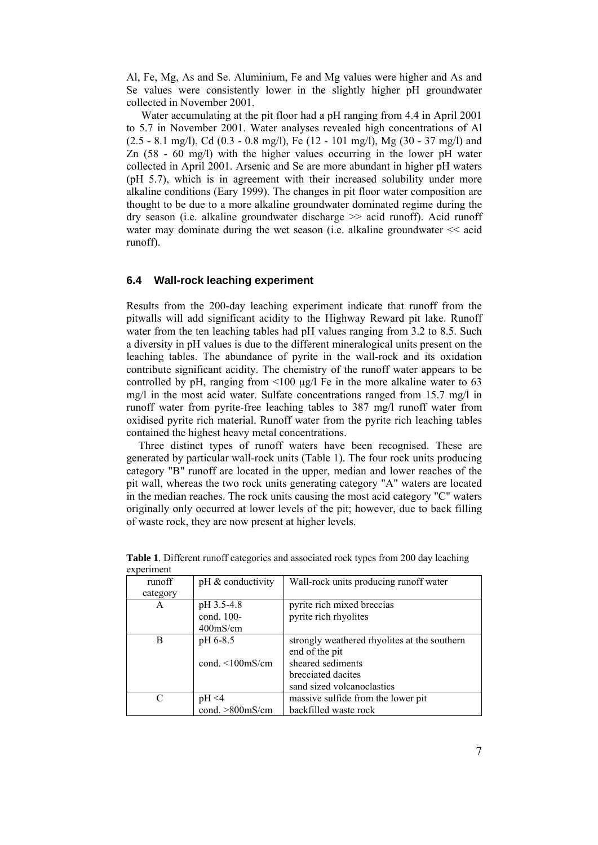Al, Fe, Mg, As and Se. Aluminium, Fe and Mg values were higher and As and Se values were consistently lower in the slightly higher pH groundwater collected in November 2001.

 Water accumulating at the pit floor had a pH ranging from 4.4 in April 2001 to 5.7 in November 2001. Water analyses revealed high concentrations of Al  $(2.5 - 8.1 \text{ mg/l})$ , Cd  $(0.3 - 0.8 \text{ mg/l})$ , Fe  $(12 - 101 \text{ mg/l})$ , Mg  $(30 - 37 \text{ mg/l})$  and Zn (58 - 60 mg/l) with the higher values occurring in the lower pH water collected in April 2001. Arsenic and Se are more abundant in higher pH waters (pH 5.7), which is in agreement with their increased solubility under more alkaline conditions (Eary 1999). The changes in pit floor water composition are thought to be due to a more alkaline groundwater dominated regime during the dry season (i.e. alkaline groundwater discharge >> acid runoff). Acid runoff water may dominate during the wet season (i.e. alkaline groundwater << acid runoff).

#### **6.4 Wall-rock leaching experiment**

Results from the 200-day leaching experiment indicate that runoff from the pitwalls will add significant acidity to the Highway Reward pit lake. Runoff water from the ten leaching tables had pH values ranging from 3.2 to 8.5. Such a diversity in pH values is due to the different mineralogical units present on the leaching tables. The abundance of pyrite in the wall-rock and its oxidation contribute significant acidity. The chemistry of the runoff water appears to be controlled by pH, ranging from <100 μg/l Fe in the more alkaline water to 63 mg/l in the most acid water. Sulfate concentrations ranged from 15.7 mg/l in runoff water from pyrite-free leaching tables to 387 mg/l runoff water from oxidised pyrite rich material. Runoff water from the pyrite rich leaching tables contained the highest heavy metal concentrations.

Three distinct types of runoff waters have been recognised. These are generated by particular wall-rock units (Table 1). The four rock units producing category "B" runoff are located in the upper, median and lower reaches of the pit wall, whereas the two rock units generating category "A" waters are located in the median reaches. The rock units causing the most acid category "C" waters originally only occurred at lower levels of the pit; however, due to back filling of waste rock, they are now present at higher levels.

| <b>CAPCLIFICITE</b> |                        |                                              |
|---------------------|------------------------|----------------------------------------------|
| runoff              | $pH \&$ conductivity   | Wall-rock units producing runoff water       |
| category            |                        |                                              |
| A                   | pH 3.5-4.8             | pyrite rich mixed breccias                   |
|                     | cond. 100-             | pyrite rich rhyolites                        |
|                     | $400$ mS/cm            |                                              |
| В                   | pH 6-8.5               | strongly weathered rhyolites at the southern |
|                     |                        | end of the pit                               |
|                     | cond. $\leq 100$ mS/cm | sheared sediments                            |
|                     |                        | brecciated dacites                           |
|                     |                        | sand sized volcanoclastics                   |
| C                   | pH < 4                 | massive sulfide from the lower pit           |
|                     | cond. >800mS/cm        | backfilled waste rock                        |

**Table 1**. Different runoff categories and associated rock types from 200 day leaching experiment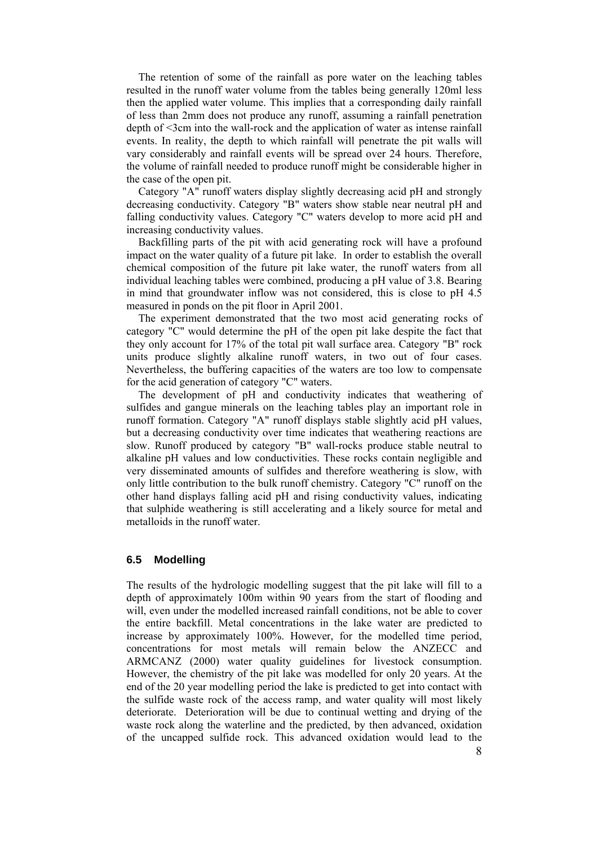The retention of some of the rainfall as pore water on the leaching tables resulted in the runoff water volume from the tables being generally 120ml less then the applied water volume. This implies that a corresponding daily rainfall of less than 2mm does not produce any runoff, assuming a rainfall penetration depth of <3cm into the wall-rock and the application of water as intense rainfall events. In reality, the depth to which rainfall will penetrate the pit walls will vary considerably and rainfall events will be spread over 24 hours. Therefore, the volume of rainfall needed to produce runoff might be considerable higher in the case of the open pit.

Category "A" runoff waters display slightly decreasing acid pH and strongly decreasing conductivity. Category "B" waters show stable near neutral pH and falling conductivity values. Category "C" waters develop to more acid pH and increasing conductivity values.

Backfilling parts of the pit with acid generating rock will have a profound impact on the water quality of a future pit lake. In order to establish the overall chemical composition of the future pit lake water, the runoff waters from all individual leaching tables were combined, producing a pH value of 3.8. Bearing in mind that groundwater inflow was not considered, this is close to pH 4.5 measured in ponds on the pit floor in April 2001.

The experiment demonstrated that the two most acid generating rocks of category "C" would determine the pH of the open pit lake despite the fact that they only account for 17% of the total pit wall surface area. Category "B" rock units produce slightly alkaline runoff waters, in two out of four cases. Nevertheless, the buffering capacities of the waters are too low to compensate for the acid generation of category "C" waters.

The development of pH and conductivity indicates that weathering of sulfides and gangue minerals on the leaching tables play an important role in runoff formation. Category "A" runoff displays stable slightly acid pH values, but a decreasing conductivity over time indicates that weathering reactions are slow. Runoff produced by category "B" wall-rocks produce stable neutral to alkaline pH values and low conductivities. These rocks contain negligible and very disseminated amounts of sulfides and therefore weathering is slow, with only little contribution to the bulk runoff chemistry. Category "C" runoff on the other hand displays falling acid pH and rising conductivity values, indicating that sulphide weathering is still accelerating and a likely source for metal and metalloids in the runoff water.

#### **6.5 Modelling**

 8 The results of the hydrologic modelling suggest that the pit lake will fill to a depth of approximately 100m within 90 years from the start of flooding and will, even under the modelled increased rainfall conditions, not be able to cover the entire backfill. Metal concentrations in the lake water are predicted to increase by approximately 100%. However, for the modelled time period, concentrations for most metals will remain below the ANZECC and ARMCANZ (2000) water quality guidelines for livestock consumption. However, the chemistry of the pit lake was modelled for only 20 years. At the end of the 20 year modelling period the lake is predicted to get into contact with the sulfide waste rock of the access ramp, and water quality will most likely deteriorate. Deterioration will be due to continual wetting and drying of the waste rock along the waterline and the predicted, by then advanced, oxidation of the uncapped sulfide rock. This advanced oxidation would lead to the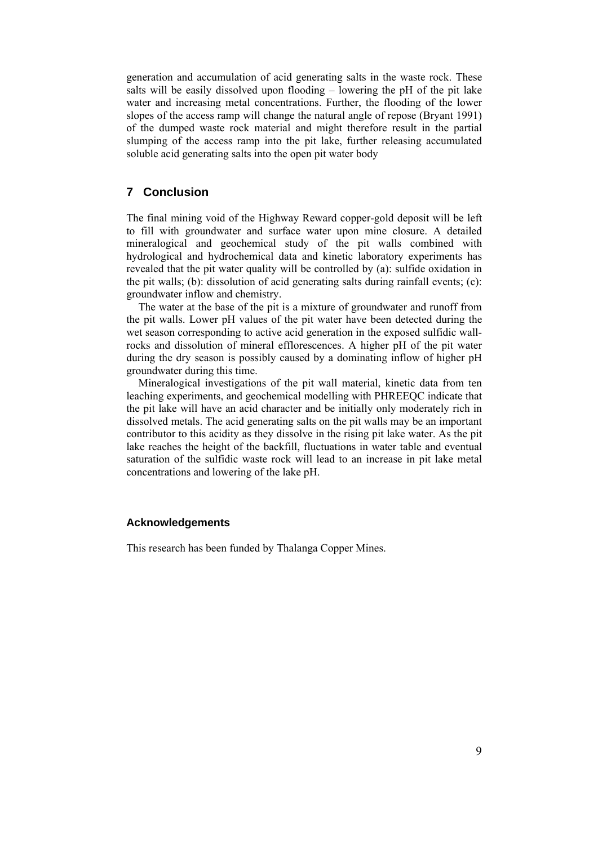generation and accumulation of acid generating salts in the waste rock. These salts will be easily dissolved upon flooding – lowering the pH of the pit lake water and increasing metal concentrations. Further, the flooding of the lower slopes of the access ramp will change the natural angle of repose (Bryant 1991) of the dumped waste rock material and might therefore result in the partial slumping of the access ramp into the pit lake, further releasing accumulated soluble acid generating salts into the open pit water body

# **7 Conclusion**

The final mining void of the Highway Reward copper-gold deposit will be left to fill with groundwater and surface water upon mine closure. A detailed mineralogical and geochemical study of the pit walls combined with hydrological and hydrochemical data and kinetic laboratory experiments has revealed that the pit water quality will be controlled by (a): sulfide oxidation in the pit walls; (b): dissolution of acid generating salts during rainfall events; (c): groundwater inflow and chemistry.

The water at the base of the pit is a mixture of groundwater and runoff from the pit walls. Lower pH values of the pit water have been detected during the wet season corresponding to active acid generation in the exposed sulfidic wallrocks and dissolution of mineral efflorescences. A higher pH of the pit water during the dry season is possibly caused by a dominating inflow of higher pH groundwater during this time.

Mineralogical investigations of the pit wall material, kinetic data from ten leaching experiments, and geochemical modelling with PHREEQC indicate that the pit lake will have an acid character and be initially only moderately rich in dissolved metals. The acid generating salts on the pit walls may be an important contributor to this acidity as they dissolve in the rising pit lake water. As the pit lake reaches the height of the backfill, fluctuations in water table and eventual saturation of the sulfidic waste rock will lead to an increase in pit lake metal concentrations and lowering of the lake pH.

### **Acknowledgements**

This research has been funded by Thalanga Copper Mines.